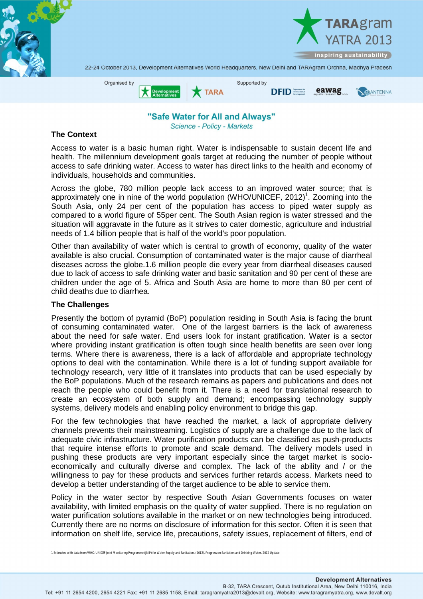

"Safe Water for All and Always" **Science - Policy - Markets** 

## **The Context**

Access to water is a basic human right. Water is indispensable to sustain decent life and health. The millennium development goals target at reducing the number of people without access to safe drinking water. Access to water has direct links to the health and economy of individuals, households and communities.

Across the globe, 780 million people lack access to an improved water source; that is approximately one in nine of the world population (WHO/UNICEF, 2012)<sup>1</sup>. Zooming into the South Asia, only 24 per cent of the population has access to piped water supply as compared to a world figure of 55per cent. The South Asian region is water stressed and the situation will aggravate in the future as it strives to cater domestic, agriculture and industrial needs of 1.4 billion people that is half of the world's poor population.

Other than availability of water which is central to growth of economy, quality of the water available is also crucial. Consumption of contaminated water is the major cause of diarrheal diseases across the globe.1.6 million people die every year from diarrheal diseases caused due to lack of access to safe drinking water and basic sanitation and 90 per cent of these are children under the age of 5. Africa and South Asia are home to more than 80 per cent of child deaths due to diarrhea.

## **The Challenges**

Presently the bottom of pyramid (BoP) population residing in South Asia is facing the brunt of consuming contaminated water. One of the largest barriers is the lack of awareness about the need for safe water. End users look for instant gratification. Water is a sector where providing instant gratification is often tough since health benefits are seen over long terms. Where there is awareness, there is a lack of affordable and appropriate technology options to deal with the contamination. While there is a lot of funding support available for technology research, very little of it translates into products that can be used especially by the BoP populations. Much of the research remains as papers and publications and does not reach the people who could benefit from it. There is a need for translational research to create an ecosystem of both supply and demand; encompassing technology supply systems, delivery models and enabling policy environment to bridge this gap.

For the few technologies that have reached the market, a lack of appropriate delivery channels prevents their mainstreaming. Logistics of supply are a challenge due to the lack of adequate civic infrastructure. Water purification products can be classified as push-products that require intense efforts to promote and scale demand. The delivery models used in pushing these products are very important especially since the target market is socioeconomically and culturally diverse and complex. The lack of the ability and / or the willingness to pay for these products and services further retards access. Markets need to develop a better understanding of the target audience to be able to service them.

Policy in the water sector by respective South Asian Governments focuses on water availability, with limited emphasis on the quality of water supplied. There is no regulation on water purification solutions available in the market or on new technologies being introduced. Currently there are no norms on disclosure of information for this sector. Often it is seen that information on shelf life, service life, precautions, safety issues, replacement of filters, end of

 1 Estimated with data from WHO/UNICEF Joint Monitoring Programme (JMP) for Water Supply and Sanitation. (2012). Progress on Sanitation and Drinking-Water, 2012 Update.

B-32, TARA Crescent, Qutub Institutional Area, New Delhi 110016, India Tel: +91 11 2654 4200, 2654 4221 Fax: +91 11 2685 1158, Email: taragramyatra2013@devalt.org, Website: www.taragramyatra.org, www.devalt.org